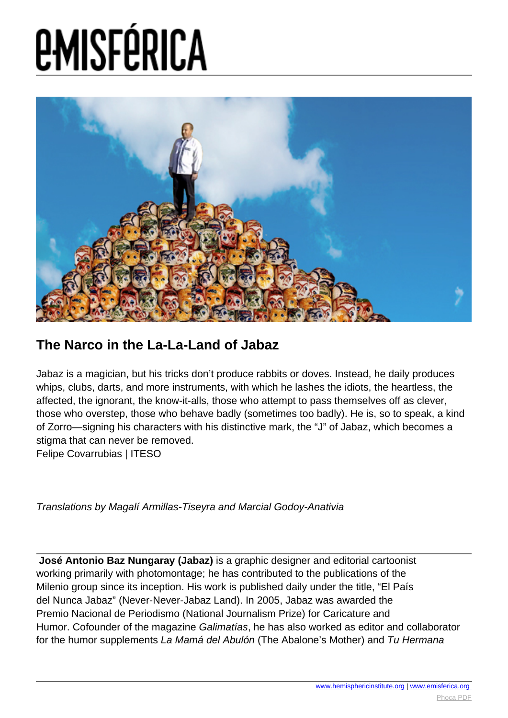## **EMISFÉRICA**



## **The Narco in the La-La-Land of Jabaz**

Jabaz is a magician, but his tricks don't produce rabbits or doves. Instead, he daily produces whips, clubs, darts, and more instruments, with which he lashes the idiots, the heartless, the affected, the ignorant, the know-it-alls, those who attempt to pass themselves off as clever, those who overstep, those who behave badly (sometimes too badly). He is, so to speak, a kind of Zorro—signing his characters with his distinctive mark, the "J" of Jabaz, which becomes a stigma that can never be removed.

Felipe Covarrubias | ITESO

Translations by Magalí Armillas-Tiseyra and Marcial Godoy-Anativia

 **José Antonio Baz Nungaray (Jabaz)** is a graphic designer and editorial cartoonist working primarily with photomontage; he has contributed to the publications of the Milenio group since its inception. His work is published daily under the title, "El País del Nunca Jabaz" (Never-Never-Jabaz Land). In 2005, Jabaz was awarded the Premio Nacional de Periodismo (National Journalism Prize) for Caricature and Humor. Cofounder of the magazine Galimatías, he has also worked as editor and collaborator for the humor supplements La Mamá del Abulón (The Abalone's Mother) and Tu Hermana